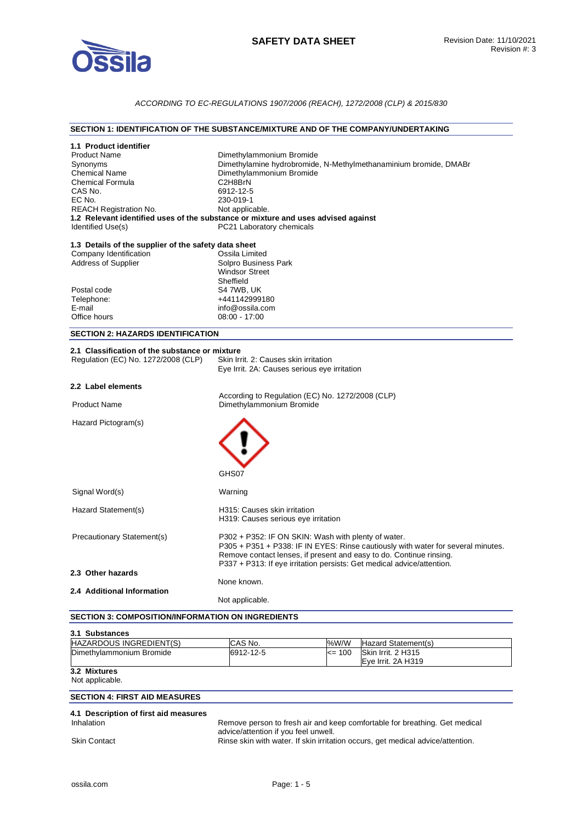

## *ACCORDING TO EC-REGULATIONS 1907/2006 (REACH), 1272/2008 (CLP) & 2015/830*

## **SECTION 1: IDENTIFICATION OF THE SUBSTANCE/MIXTURE AND OF THE COMPANY/UNDERTAKING**

| 1.1 Product identifier<br><b>Product Name</b><br>Synonyms<br><b>Chemical Name</b><br><b>Chemical Formula</b><br>CAS No.<br>EC No.<br>REACH Registration No.<br>Identified Use(s) | Dimethylammonium Bromide<br>Dimethylamine hydrobromide, N-Methylmethanaminium bromide, DMABr<br>Dimethylammonium Bromide<br>C2H8BrN<br>6912-12-5<br>230-019-1<br>Not applicable.<br>1.2 Relevant identified uses of the substance or mixture and uses advised against<br>PC21 Laboratory chemicals |  |
|----------------------------------------------------------------------------------------------------------------------------------------------------------------------------------|----------------------------------------------------------------------------------------------------------------------------------------------------------------------------------------------------------------------------------------------------------------------------------------------------|--|
| 1.3 Details of the supplier of the safety data sheet<br>Company Identification<br><b>Address of Supplier</b><br>Postal code<br>Telephone:<br>E-mail<br>Office hours              | Ossila Limited<br>Solpro Business Park<br><b>Windsor Street</b><br>Sheffield<br>S4 7WB, UK<br>+441142999180<br>info@ossila.com<br>$08:00 - 17:00$                                                                                                                                                  |  |
| <b>SECTION 2: HAZARDS IDENTIFICATION</b>                                                                                                                                         |                                                                                                                                                                                                                                                                                                    |  |
| 2.1 Classification of the substance or mixture<br>Regulation (EC) No. 1272/2008 (CLP)                                                                                            | Skin Irrit. 2: Causes skin irritation<br>Eye Irrit. 2A: Causes serious eye irritation                                                                                                                                                                                                              |  |
| 2.2 Label elements                                                                                                                                                               |                                                                                                                                                                                                                                                                                                    |  |
| <b>Product Name</b>                                                                                                                                                              | According to Regulation (EC) No. 1272/2008 (CLP)<br>Dimethylammonium Bromide                                                                                                                                                                                                                       |  |
| Hazard Pictogram(s)                                                                                                                                                              | GHS07                                                                                                                                                                                                                                                                                              |  |
| Signal Word(s)                                                                                                                                                                   | Warning                                                                                                                                                                                                                                                                                            |  |
| Hazard Statement(s)                                                                                                                                                              | H315: Causes skin irritation<br>H319: Causes serious eye irritation                                                                                                                                                                                                                                |  |
| Precautionary Statement(s)                                                                                                                                                       | P302 + P352: IF ON SKIN: Wash with plenty of water.<br>P305 + P351 + P338: IF IN EYES: Rinse cautiously with water for several minutes.<br>Remove contact lenses, if present and easy to do. Continue rinsing.<br>P337 + P313: If eye irritation persists: Get medical advice/attention.           |  |
| 2.3 Other hazards                                                                                                                                                                |                                                                                                                                                                                                                                                                                                    |  |
| 2.4 Additional Information                                                                                                                                                       | None known.                                                                                                                                                                                                                                                                                        |  |
|                                                                                                                                                                                  | Not applicable.                                                                                                                                                                                                                                                                                    |  |

#### **SECTION 3: COMPOSITION/INFORMATION ON INGREDIENTS**

| 3.1 Substances                 |           |            |                     |
|--------------------------------|-----------|------------|---------------------|
| <b>HAZARDOUS INGREDIENT(S)</b> | CAS No.   | %W/W       | Hazard Statement(s) |
| Dimethylammonium Bromide       | 6912-12-5 | $\leq$ 100 | Skin Irrit. 2 H315  |
|                                |           |            | Eve Irrit. 2A H319  |
| 3.2 Mixtures                   |           |            |                     |

## Not applicable.

## **SECTION 4: FIRST AID MEASURES**

# **4.1 Description of first aid measures**

Remove person to fresh air and keep comfortable for breathing. Get medical advice/attention if you feel unwell. Skin Contact **Rinse skin with water. If skin irritation occurs**, get medical advice/attention.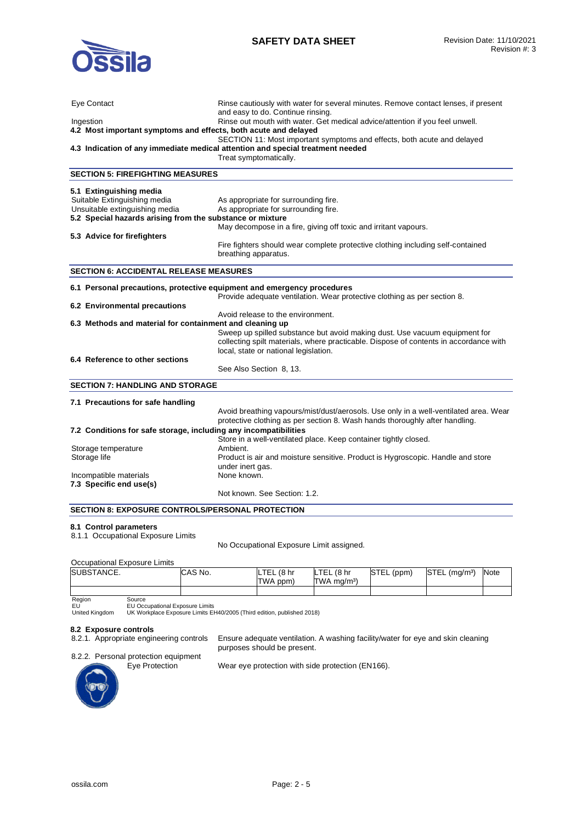

| <b>Eye Contact</b><br>Ingestion<br>4.2 Most important symptoms and effects, both acute and delayed                                                                                    | Rinse cautiously with water for several minutes. Remove contact lenses, if present<br>and easy to do. Continue rinsing.<br>Rinse out mouth with water. Get medical advice/attention if you feel unwell.<br>SECTION 11: Most important symptoms and effects, both acute and delayed<br>4.3 Indication of any immediate medical attention and special treatment needed<br>Treat symptomatically. |
|---------------------------------------------------------------------------------------------------------------------------------------------------------------------------------------|------------------------------------------------------------------------------------------------------------------------------------------------------------------------------------------------------------------------------------------------------------------------------------------------------------------------------------------------------------------------------------------------|
| <b>SECTION 5: FIREFIGHTING MEASURES</b>                                                                                                                                               |                                                                                                                                                                                                                                                                                                                                                                                                |
| 5.1 Extinguishing media<br>Suitable Extinguishing media<br>Unsuitable extinguishing media<br>5.2 Special hazards arising from the substance or mixture<br>5.3 Advice for firefighters | As appropriate for surrounding fire.<br>As appropriate for surrounding fire.<br>May decompose in a fire, giving off toxic and irritant vapours.<br>Fire fighters should wear complete protective clothing including self-contained<br>breathing apparatus.                                                                                                                                     |
| <b>SECTION 6: ACCIDENTAL RELEASE MEASURES</b>                                                                                                                                         |                                                                                                                                                                                                                                                                                                                                                                                                |
| 6.1 Personal precautions, protective equipment and emergency procedures<br>6.2 Environmental precautions<br>6.3 Methods and material for containment and cleaning up                  | Provide adequate ventilation. Wear protective clothing as per section 8.<br>Avoid release to the environment.                                                                                                                                                                                                                                                                                  |
|                                                                                                                                                                                       | Sweep up spilled substance but avoid making dust. Use vacuum equipment for<br>collecting spilt materials, where practicable. Dispose of contents in accordance with<br>local, state or national legislation.                                                                                                                                                                                   |
| 6.4 Reference to other sections                                                                                                                                                       | See Also Section 8, 13.                                                                                                                                                                                                                                                                                                                                                                        |
| <b>SECTION 7: HANDLING AND STORAGE</b>                                                                                                                                                |                                                                                                                                                                                                                                                                                                                                                                                                |
| 7.1 Precautions for safe handling                                                                                                                                                     | Avoid breathing vapours/mist/dust/aerosols. Use only in a well-ventilated area. Wear<br>protective clothing as per section 8. Wash hands thoroughly after handling.                                                                                                                                                                                                                            |
| 7.2 Conditions for safe storage, including any incompatibilities                                                                                                                      |                                                                                                                                                                                                                                                                                                                                                                                                |
| Storage temperature<br>Storage life                                                                                                                                                   | Store in a well-ventilated place. Keep container tightly closed.<br>Ambient.<br>Product is air and moisture sensitive. Product is Hygroscopic. Handle and store<br>under inert gas.                                                                                                                                                                                                            |
| Incompatible materials<br>7.3 Specific end use(s)                                                                                                                                     | None known.<br>Not known. See Section: 1.2.                                                                                                                                                                                                                                                                                                                                                    |
| <b>SECTION 8: EXPOSURE CONTROLS/PERSONAL PROTECTION</b>                                                                                                                               |                                                                                                                                                                                                                                                                                                                                                                                                |

## **8.1 Control parameters**

No Occupational Exposure Limit assigned.

## Occupational Exposure Limits

| SUBSTANCE.       | CAS No. | (8 <sub>hr</sub> )<br>LTEL<br>TWA ppm) | ILTEL (8 hr<br>TWA mg/m <sup>3</sup> ) | STEL (ppm) | STEL<br>$(m\alpha/m^3)$ | Note |
|------------------|---------|----------------------------------------|----------------------------------------|------------|-------------------------|------|
|                  |         |                                        |                                        |            |                         |      |
| Region<br>مnurca |         |                                        |                                        |            |                         |      |

purposes should be present.

Region EU United Kingdom

Source EU Occupational Exposure Limits UK Workplace Exposure Limits EH40/2005 (Third edition, published 2018)

**8.2 Exposure controls** 

8.2.2. Personal protection equipment



Eye Protection Wear eye protection with side protection (EN166).

Ensure adequate ventilation. A washing facility/water for eye and skin cleaning

<sup>8.1.1</sup> Occupational Exposure Limits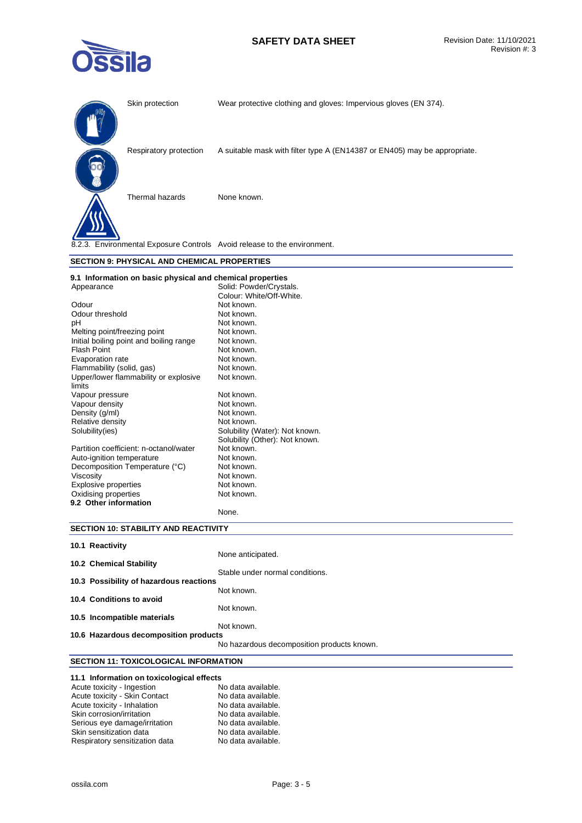## **SAFETY DATA SHEET** Revision Date: 11/10/2021



|                              | Skin protection                                                          | Wear protective clothing and gloves: Impervious gloves (EN 374).          |  |  |
|------------------------------|--------------------------------------------------------------------------|---------------------------------------------------------------------------|--|--|
|                              | Respiratory protection                                                   | A suitable mask with filter type A (EN14387 or EN405) may be appropriate. |  |  |
|                              | Thermal hazards                                                          | None known.                                                               |  |  |
|                              | 8.2.3. Environmental Exposure Controls Avoid release to the environment. |                                                                           |  |  |
|                              | <b>SECTION 9: PHYSICAL AND CHEMICAL PROPERTIES</b>                       |                                                                           |  |  |
|                              | 9.1 Information on basic physical and chemical properties                |                                                                           |  |  |
| Appearance                   |                                                                          | Solid: Powder/Crystals.                                                   |  |  |
|                              |                                                                          |                                                                           |  |  |
|                              |                                                                          | Colour: White/Off-White.                                                  |  |  |
| Odour                        |                                                                          | Not known.                                                                |  |  |
| Odour threshold              |                                                                          | Not known.                                                                |  |  |
| pH                           |                                                                          | Not known.                                                                |  |  |
| Melting point/freezing point |                                                                          | Not known.                                                                |  |  |
|                              | Initial boiling point and boiling range                                  | Not known.                                                                |  |  |
| <b>Flash Point</b>           |                                                                          | Not known.                                                                |  |  |
| Evaporation rate             |                                                                          | Not known.                                                                |  |  |
| Flammability (solid, gas)    |                                                                          | Not known.                                                                |  |  |
| limits                       | Upper/lower flammability or explosive                                    | Not known.                                                                |  |  |
| Vapour pressure              |                                                                          | Not known.                                                                |  |  |

| Upper/lower flammability or explosive  | Not known.                     |
|----------------------------------------|--------------------------------|
| limits                                 |                                |
| Vapour pressure                        | Not known.                     |
| Vapour density                         | Not known.                     |
| Density (g/ml)                         | Not known.                     |
| Relative density                       | Not known.                     |
| Solubility(ies)                        | Solubility (Water): Not known. |
|                                        | Solubility (Other): Not known. |
| Partition coefficient: n-octanol/water | Not known.                     |
| Auto-ignition temperature              | Not known.                     |
| Decomposition Temperature (°C)         | Not known.                     |
| <b>Viscosity</b>                       | Not known.                     |
| <b>Explosive properties</b>            | Not known.                     |
| Oxidising properties                   | Not known.                     |
| 9.2 Other information                  |                                |
|                                        |                                |

## **SECTION 10: STABILITY AND REACTIVITY**

| 10.1 Reactivity                         |                                            |
|-----------------------------------------|--------------------------------------------|
|                                         | None anticipated.                          |
| <b>10.2 Chemical Stability</b>          |                                            |
|                                         | Stable under normal conditions.            |
| 10.3 Possibility of hazardous reactions |                                            |
|                                         | Not known.                                 |
| 10.4 Conditions to avoid                |                                            |
|                                         | Not known.                                 |
| 10.5 Incompatible materials             |                                            |
|                                         | Not known.                                 |
| 10.6 Hazardous decomposition products   |                                            |
|                                         | No hazardous decomposition products known. |

None.

## **SECTION 11: TOXICOLOGICAL INFORMATION**

## **11.1 Information on toxicological effects**

| Acute toxicity - Ingestion     | No data available. |
|--------------------------------|--------------------|
| Acute toxicity - Skin Contact  | No data available. |
| Acute toxicity - Inhalation    | No data available. |
| Skin corrosion/irritation      | No data available. |
| Serious eye damage/irritation  | No data available. |
| Skin sensitization data        | No data available. |
| Respiratory sensitization data | No data available. |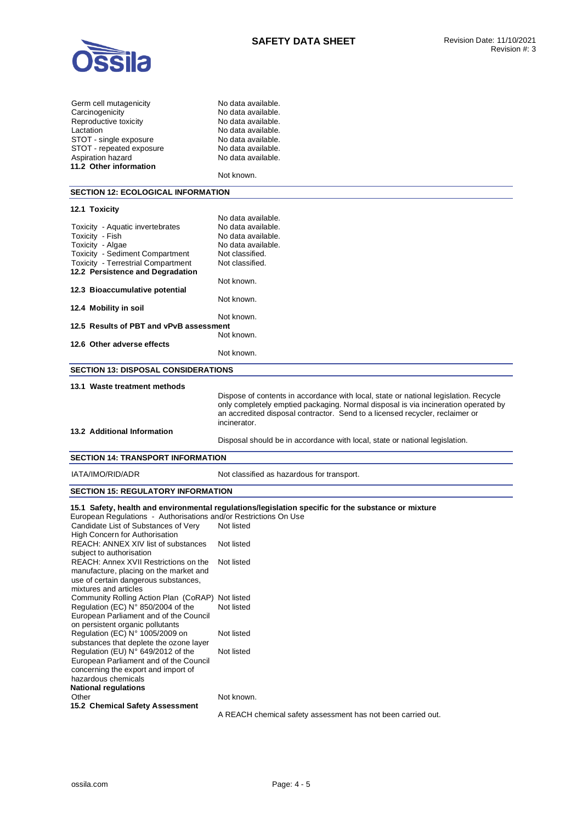

| Germ cell mutagenicity   |
|--------------------------|
| Carcinogenicity          |
| Reproductive toxicity    |
| Lactation                |
| STOT - single exposure   |
| STOT - repeated exposure |
| Aspiration hazard        |
| 11.2 Other information   |

No data available. No data available. No data available. No data available. No data available. No data available. No data available.

Not known.

#### **SECTION 12: ECOLOGICAL INFORMATION**

## **12.1 Toxicity**  No data available. Toxicity - Aquatic invertebrates No data available.<br>Toxicity - Fish No data available. Toxicity - Fish No data available.<br>Toxicity - Algae No data available. Toxicity - Algae **No data available.**<br>Toxicity - Sediment Compartment Not classified. Toxicity - Sediment Compartment Not classified.<br>
Toxicity - Terrestrial Compartment Not classified. Toxicity - Terrestrial Compartment **12.2 Persistence and Degradation**  Not known. **12.3 Bioaccumulative potential**  Not known. **12.4 Mobility in soil**  Not known. **12.5 Results of PBT and vPvB assessment**  Not known. **12.6 Other adverse effects**  Not known. **SECTION 13: DISPOSAL CONSIDERATIONS 13.1 Waste treatment methods**  Dispose of contents in accordance with local, state or national legislation. Recycle only completely emptied packaging. Normal disposal is via incineration operated by an accredited disposal contractor. Send to a licensed recycler, reclaimer or incinerator. **13.2 Additional Information**

## Disposal should be in accordance with local, state or national legislation.

## **SECTION 14: TRANSPORT INFORMATION**

IATA/IMO/RID/ADR Not classified as hazardous for transport.

#### **SECTION 15: REGULATORY INFORMATION**

## **15.1 Safety, health and environmental regulations/legislation specific for the substance or mixture**

European Regulations - Authorisations and/or Restrictions On Use Candidate List of Substances of Very High Concern for Authorisation Not listed REACH: ANNEX XIV list of substances subject to authorisation Not listed REACH: Annex XVII Restrictions on the manufacture, placing on the market and use of certain dangerous substances, mixtures and articles Not listed Community Rolling Action Plan (CoRAP) Not listed Regulation (EC) N° 850/2004 of the European Parliament and of the Council on persistent organic pollutants Not listed Regulation (EC) N° 1005/2009 on substances that deplete the ozone layer Not listed Regulation (EU) N° 649/2012 of the European Parliament and of the Council concerning the export and import of hazardous chemicals Not listed **National regulations**  Other Not known. **15.2 Chemical Safety Assessment**  A REACH chemical safety assessment has not been carried out.